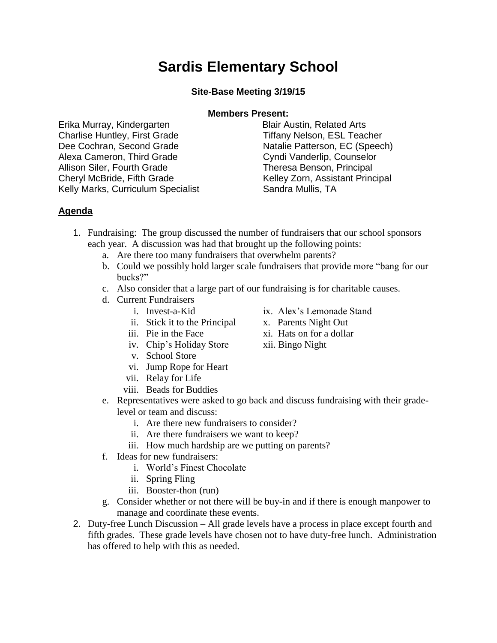## **Sardis Elementary School**

**Site-Base Meeting 3/19/15**

## **Members Present:**

Erika Murray, Kindergarten **Blair Austin, Related Arts** Charlise Huntley, First Grade Tiffany Nelson, ESL Teacher Dee Cochran, Second Grade Natalie Patterson, EC (Speech) Alexa Cameron, Third Grade Cyndi Vanderlip, Counselor Allison Siler, Fourth Grade Theresa Benson, Principal Cheryl McBride, Fifth Grade Kelley Zorn, Assistant Principal Kelly Marks, Curriculum Specialist Sandra Mullis, TA

## **Agenda**

- 1. Fundraising: The group discussed the number of fundraisers that our school sponsors each year. A discussion was had that brought up the following points:
	- a. Are there too many fundraisers that overwhelm parents?
	- b. Could we possibly hold larger scale fundraisers that provide more "bang for our bucks?"
	- c. Also consider that a large part of our fundraising is for charitable causes.
	- d. Current Fundraisers
		-
		- ii. Stick it to the Principal x. Parents Night Out
		-
		- iv. Chip's Holiday Store xii. Bingo Night
		- v. School Store
		- vi. Jump Rope for Heart
		- vii. Relay for Life
		- viii. Beads for Buddies
	- e. Representatives were asked to go back and discuss fundraising with their gradelevel or team and discuss:
		- i. Are there new fundraisers to consider?
		- ii. Are there fundraisers we want to keep?
		- iii. How much hardship are we putting on parents?
	- f. Ideas for new fundraisers:
		- i. World's Finest Chocolate
		- ii. Spring Fling
		- iii. Booster-thon (run)
	- g. Consider whether or not there will be buy-in and if there is enough manpower to manage and coordinate these events.
- 2. Duty-free Lunch Discussion All grade levels have a process in place except fourth and fifth grades. These grade levels have chosen not to have duty-free lunch. Administration has offered to help with this as needed.
- i. Invest-a-Kid ix. Alex's Lemonade Stand
	-
- iii. Pie in the Face  $xi$  iii. Hats on for a dollar
	-